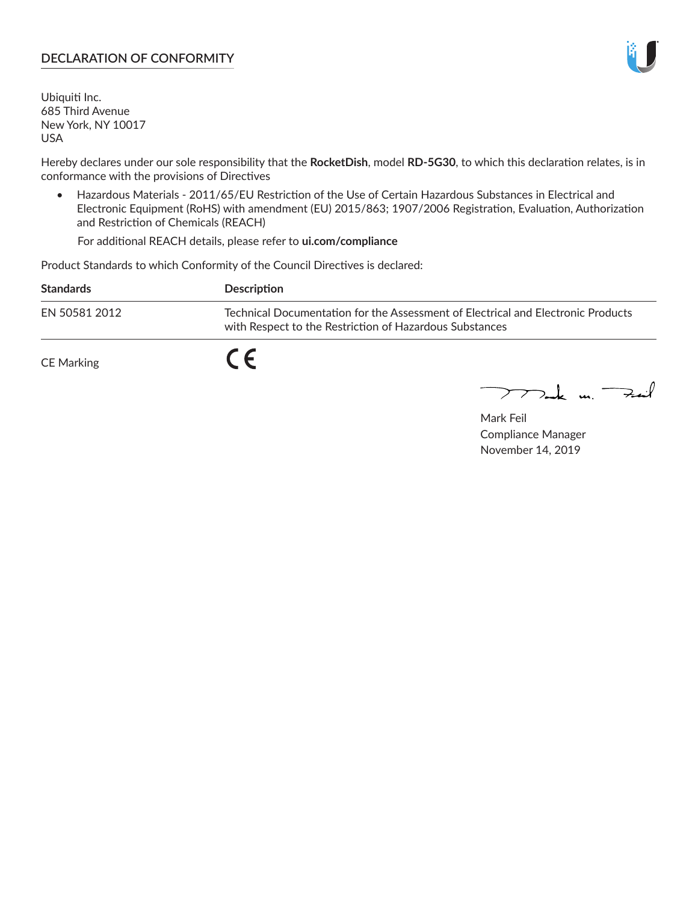## **DECLARATION OF CONFORMITY**

Ubiquiti Inc. 685 Third Avenue New York, NY 10017 USA

Hereby declares under our sole responsibility that the **RocketDish**, model **RD-5G30**, to which this declaration relates, is in conformance with the provisions of Directives

• Hazardous Materials - 2011/65/EU Restriction of the Use of Certain Hazardous Substances in Electrical and Electronic Equipment (RoHS) with amendment (EU) 2015/863; 1907/2006 Registration, Evaluation, Authorization and Restriction of Chemicals (REACH)

For additional REACH details, please refer to **ui.com/compliance**

Product Standards to which Conformity of the Council Directives is declared:

| <b>Standards</b> | Description                                                                                                                                 |
|------------------|---------------------------------------------------------------------------------------------------------------------------------------------|
| EN 50581 2012    | Technical Documentation for the Assessment of Electrical and Electronic Products<br>with Respect to the Restriction of Hazardous Substances |
| CE Marking       | C C                                                                                                                                         |

 $\sum_{n=1}^{\infty}$  un  $\sum_{n=1}^{\infty}$ 

Mark Feil Compliance Manager November 14, 2019

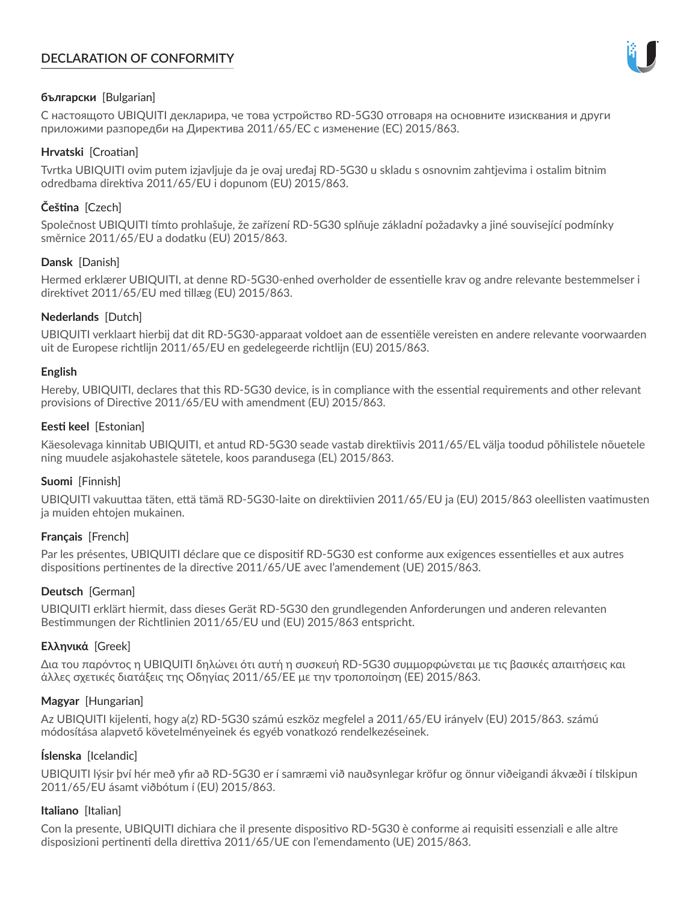# **DECLARATION OF CONFORMITY**



## **български** [Bulgarian]

С настоящото UBIQUITI декларира, че това устройство RD-5G30 отговаря на основните изисквания и други приложими разпоредби на Директива 2011/65/ЕС с изменение (ЕС) 2015/863.

## **Hrvatski** [Croatian]

Tvrtka UBIQUITI ovim putem izjavljuje da je ovaj uređaj RD-5G30 u skladu s osnovnim zahtjevima i ostalim bitnim odredbama direktiva 2011/65/EU i dopunom (EU) 2015/863.

## **Čeština** [Czech]

Společnost UBIQUITI tímto prohlašuje, že zařízení RD-5G30 splňuje základní požadavky a jiné související podmínky směrnice 2011/65/EU a dodatku (EU) 2015/863.

## **Dansk** [Danish]

Hermed erklærer UBIQUITI, at denne RD-5G30-enhed overholder de essentielle krav og andre relevante bestemmelser i direktivet 2011/65/EU med tillæg (EU) 2015/863.

## **Nederlands** [Dutch]

UBIQUITI verklaart hierbij dat dit RD-5G30-apparaat voldoet aan de essentiële vereisten en andere relevante voorwaarden uit de Europese richtlijn 2011/65/EU en gedelegeerde richtlijn (EU) 2015/863.

#### **English**

Hereby, UBIQUITI, declares that this RD-5G30 device, is in compliance with the essential requirements and other relevant provisions of Directive 2011/65/EU with amendment (EU) 2015/863.

## **Eesti keel** [Estonian]

Käesolevaga kinnitab UBIQUITI, et antud RD-5G30 seade vastab direktiivis 2011/65/EL välja toodud põhilistele nõuetele ning muudele asjakohastele sätetele, koos parandusega (EL) 2015/863.

## **Suomi** [Finnish]

UBIQUITI vakuuttaa täten, että tämä RD-5G30-laite on direktiivien 2011/65/EU ja (EU) 2015/863 oleellisten vaatimusten ja muiden ehtojen mukainen.

#### **Français** [French]

Par les présentes, UBIQUITI déclare que ce dispositif RD-5G30 est conforme aux exigences essentielles et aux autres dispositions pertinentes de la directive 2011/65/UE avec l'amendement (UE) 2015/863.

## **Deutsch** [German]

UBIQUITI erklärt hiermit, dass dieses Gerät RD-5G30 den grundlegenden Anforderungen und anderen relevanten Bestimmungen der Richtlinien 2011/65/EU und (EU) 2015/863 entspricht.

#### **Ελληνικά** [Greek]

Δια του παρόντος η UBIQUITI δηλώνει ότι αυτή η συσκευή RD-5G30 συμμορφώνεται με τις βασικές απαιτήσεις και άλλες σχετικές διατάξεις της Οδηγίας 2011/65/ΕΕ με την τροποποίηση (ΕΕ) 2015/863.

#### **Magyar** [Hungarian]

Az UBIQUITI kijelenti, hogy a(z) RD-5G30 számú eszköz megfelel a 2011/65/EU irányelv (EU) 2015/863. számú módosítása alapvető követelményeinek és egyéb vonatkozó rendelkezéseinek.

#### **Íslenska** [Icelandic]

UBIQUITI lýsir því hér með yfir að RD-5G30 er í samræmi við nauðsynlegar kröfur og önnur viðeigandi ákvæði í tilskipun 2011/65/EU ásamt viðbótum í (EU) 2015/863.

#### **Italiano** [Italian]

Con la presente, UBIQUITI dichiara che il presente dispositivo RD-5G30 è conforme ai requisiti essenziali e alle altre disposizioni pertinenti della direttiva 2011/65/UE con l'emendamento (UE) 2015/863.